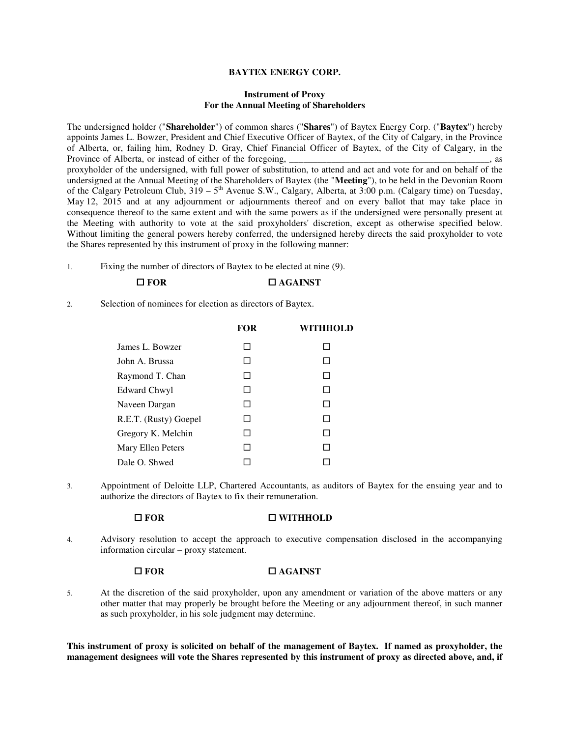## **BAYTEX ENERGY CORP.**

## **Instrument of Proxy For the Annual Meeting of Shareholders**

The undersigned holder ("**Shareholder**") of common shares ("**Shares**") of Baytex Energy Corp. ("**Baytex**") hereby appoints James L. Bowzer, President and Chief Executive Officer of Baytex, of the City of Calgary, in the Province of Alberta, or, failing him, Rodney D. Gray, Chief Financial Officer of Baytex, of the City of Calgary, in the Province of Alberta, or instead of either of the foregoing, proxyholder of the undersigned, with full power of substitution, to attend and act and vote for and on behalf of the undersigned at the Annual Meeting of the Shareholders of Baytex (the "**Meeting**"), to be held in the Devonian Room of the Calgary Petroleum Club,  $319 - 5^{th}$  Avenue S.W., Calgary, Alberta, at 3:00 p.m. (Calgary time) on Tuesday, May 12, 2015 and at any adjournment or adjournments thereof and on every ballot that may take place in consequence thereof to the same extent and with the same powers as if the undersigned were personally present at the Meeting with authority to vote at the said proxyholders' discretion, except as otherwise specified below. Without limiting the general powers hereby conferred, the undersigned hereby directs the said proxyholder to vote the Shares represented by this instrument of proxy in the following manner:

1. Fixing the number of directors of Baytex to be elected at nine (9).

## **□ FOR □ AGAINST**

2. Selection of nominees for election as directors of Baytex.

|                       | <b>FOR</b>   | WITHHOLD |
|-----------------------|--------------|----------|
| James L. Bowzer       | $\mathsf{L}$ |          |
| John A. Brussa        | $\mathsf{L}$ | ΙI       |
| Raymond T. Chan       |              |          |
| <b>Edward Chwyl</b>   |              |          |
| Naveen Dargan         | $\mathsf{L}$ | П        |
| R.E.T. (Rusty) Goepel | $\mathsf{L}$ | ΙI       |
| Gregory K. Melchin    | $\mathsf{L}$ | П        |
| Mary Ellen Peters     |              |          |
| Dale O. Shwed         |              |          |

3. Appointment of Deloitte LLP, Chartered Accountants, as auditors of Baytex for the ensuing year and to authorize the directors of Baytex to fix their remuneration.

### **FOR WITHHOLD**

4. Advisory resolution to accept the approach to executive compensation disclosed in the accompanying information circular – proxy statement.

# **□ FOR □ AGAINST**

5. At the discretion of the said proxyholder, upon any amendment or variation of the above matters or any other matter that may properly be brought before the Meeting or any adjournment thereof, in such manner as such proxyholder, in his sole judgment may determine.

**This instrument of proxy is solicited on behalf of the management of Baytex. If named as proxyholder, the management designees will vote the Shares represented by this instrument of proxy as directed above, and, if**